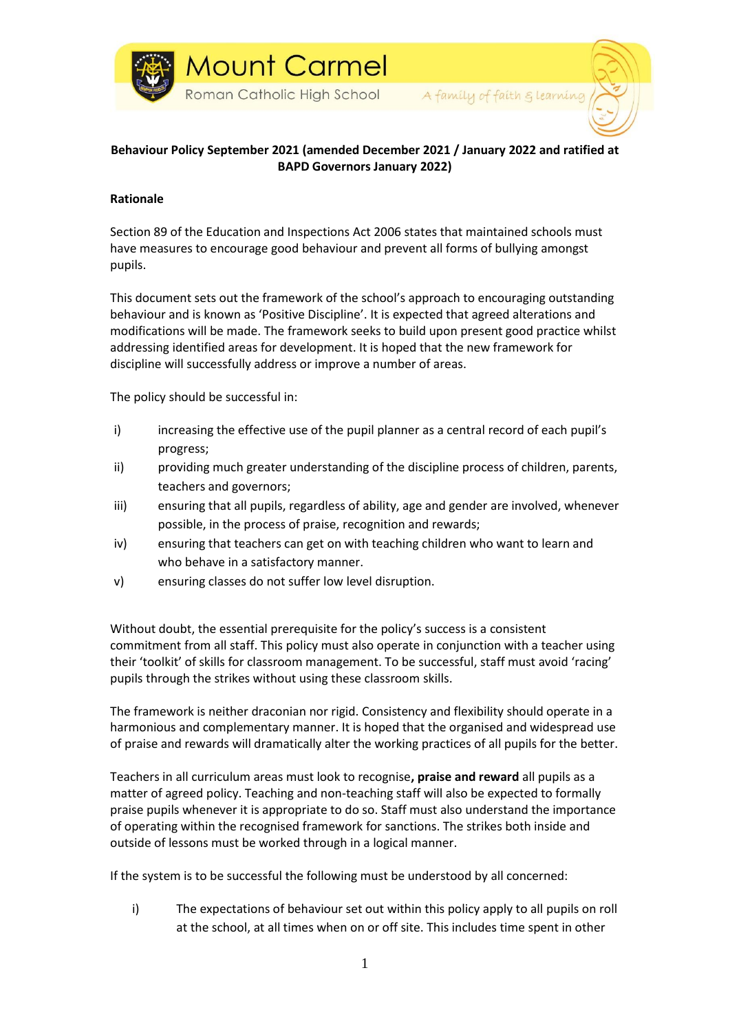

# **Behaviour Policy September 2021 (amended December 2021 / January 2022 and ratified at BAPD Governors January 2022)**

### **Rationale**

Section 89 of the Education and Inspections Act 2006 states that maintained schools must have measures to encourage good behaviour and prevent all forms of bullying amongst pupils.

This document sets out the framework of the school's approach to encouraging outstanding behaviour and is known as 'Positive Discipline'. It is expected that agreed alterations and modifications will be made. The framework seeks to build upon present good practice whilst addressing identified areas for development. It is hoped that the new framework for discipline will successfully address or improve a number of areas.

The policy should be successful in:

- i) increasing the effective use of the pupil planner as a central record of each pupil's progress;
- ii) providing much greater understanding of the discipline process of children, parents, teachers and governors;
- iii) ensuring that all pupils, regardless of ability, age and gender are involved, whenever possible, in the process of praise, recognition and rewards;
- iv) ensuring that teachers can get on with teaching children who want to learn and who behave in a satisfactory manner.
- v) ensuring classes do not suffer low level disruption.

Without doubt, the essential prerequisite for the policy's success is a consistent commitment from all staff. This policy must also operate in conjunction with a teacher using their 'toolkit' of skills for classroom management. To be successful, staff must avoid 'racing' pupils through the strikes without using these classroom skills.

The framework is neither draconian nor rigid. Consistency and flexibility should operate in a harmonious and complementary manner. It is hoped that the organised and widespread use of praise and rewards will dramatically alter the working practices of all pupils for the better.

Teachers in all curriculum areas must look to recognise**, praise and reward** all pupils as a matter of agreed policy. Teaching and non-teaching staff will also be expected to formally praise pupils whenever it is appropriate to do so. Staff must also understand the importance of operating within the recognised framework for sanctions. The strikes both inside and outside of lessons must be worked through in a logical manner.

If the system is to be successful the following must be understood by all concerned:

i) The expectations of behaviour set out within this policy apply to all pupils on roll at the school, at all times when on or off site. This includes time spent in other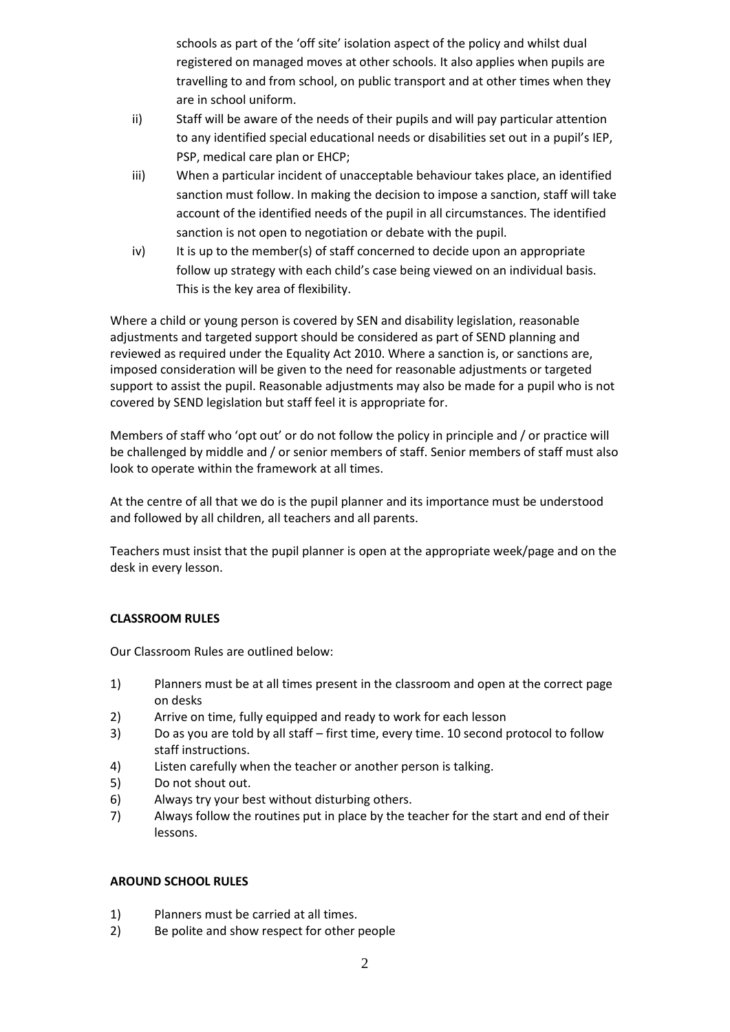schools as part of the 'off site' isolation aspect of the policy and whilst dual registered on managed moves at other schools. It also applies when pupils are travelling to and from school, on public transport and at other times when they are in school uniform.

- ii) Staff will be aware of the needs of their pupils and will pay particular attention to any identified special educational needs or disabilities set out in a pupil's IEP, PSP, medical care plan or EHCP;
- iii) When a particular incident of unacceptable behaviour takes place, an identified sanction must follow. In making the decision to impose a sanction, staff will take account of the identified needs of the pupil in all circumstances. The identified sanction is not open to negotiation or debate with the pupil.
- iv) It is up to the member(s) of staff concerned to decide upon an appropriate follow up strategy with each child's case being viewed on an individual basis. This is the key area of flexibility.

Where a child or young person is covered by SEN and disability legislation, reasonable adjustments and targeted support should be considered as part of SEND planning and reviewed as required under the Equality Act 2010. Where a sanction is, or sanctions are, imposed consideration will be given to the need for reasonable adjustments or targeted support to assist the pupil. Reasonable adjustments may also be made for a pupil who is not covered by SEND legislation but staff feel it is appropriate for.

Members of staff who 'opt out' or do not follow the policy in principle and / or practice will be challenged by middle and / or senior members of staff. Senior members of staff must also look to operate within the framework at all times.

At the centre of all that we do is the pupil planner and its importance must be understood and followed by all children, all teachers and all parents.

Teachers must insist that the pupil planner is open at the appropriate week/page and on the desk in every lesson.

# **CLASSROOM RULES**

Our Classroom Rules are outlined below:

- 1) Planners must be at all times present in the classroom and open at the correct page on desks
- 2) Arrive on time, fully equipped and ready to work for each lesson
- 3) Do as you are told by all staff first time, every time. 10 second protocol to follow staff instructions.
- 4) Listen carefully when the teacher or another person is talking.
- 5) Do not shout out.
- 6) Always try your best without disturbing others.
- 7) Always follow the routines put in place by the teacher for the start and end of their lessons.

### **AROUND SCHOOL RULES**

- 1) Planners must be carried at all times.
- 2) Be polite and show respect for other people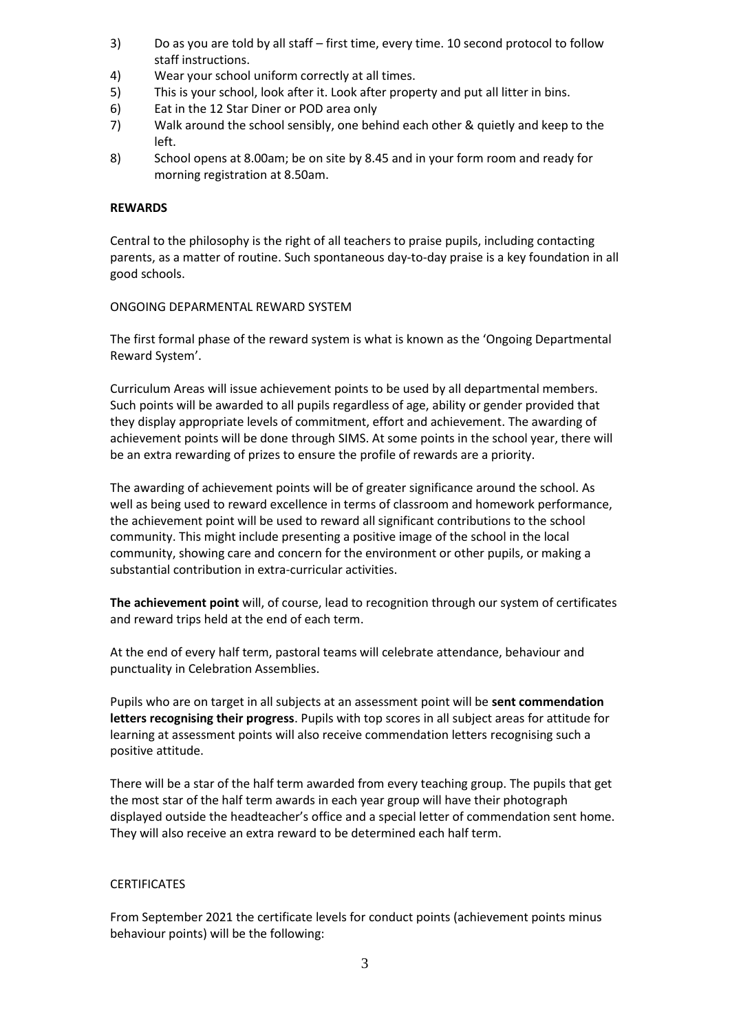- 3) Do as you are told by all staff first time, every time. 10 second protocol to follow staff instructions.
- 4) Wear your school uniform correctly at all times.
- 5) This is your school, look after it. Look after property and put all litter in bins.
- 6) Eat in the 12 Star Diner or POD area only
- 7) Walk around the school sensibly, one behind each other & quietly and keep to the left.
- 8) School opens at 8.00am; be on site by 8.45 and in your form room and ready for morning registration at 8.50am.

#### **REWARDS**

Central to the philosophy is the right of all teachers to praise pupils, including contacting parents, as a matter of routine. Such spontaneous day-to-day praise is a key foundation in all good schools.

#### ONGOING DEPARMENTAL REWARD SYSTEM

The first formal phase of the reward system is what is known as the 'Ongoing Departmental Reward System'.

Curriculum Areas will issue achievement points to be used by all departmental members. Such points will be awarded to all pupils regardless of age, ability or gender provided that they display appropriate levels of commitment, effort and achievement. The awarding of achievement points will be done through SIMS. At some points in the school year, there will be an extra rewarding of prizes to ensure the profile of rewards are a priority.

The awarding of achievement points will be of greater significance around the school. As well as being used to reward excellence in terms of classroom and homework performance, the achievement point will be used to reward all significant contributions to the school community. This might include presenting a positive image of the school in the local community, showing care and concern for the environment or other pupils, or making a substantial contribution in extra-curricular activities.

**The achievement point** will, of course, lead to recognition through our system of certificates and reward trips held at the end of each term.

At the end of every half term, pastoral teams will celebrate attendance, behaviour and punctuality in Celebration Assemblies.

Pupils who are on target in all subjects at an assessment point will be **sent commendation letters recognising their progress**. Pupils with top scores in all subject areas for attitude for learning at assessment points will also receive commendation letters recognising such a positive attitude.

There will be a star of the half term awarded from every teaching group. The pupils that get the most star of the half term awards in each year group will have their photograph displayed outside the headteacher's office and a special letter of commendation sent home. They will also receive an extra reward to be determined each half term.

#### **CERTIFICATES**

From September 2021 the certificate levels for conduct points (achievement points minus behaviour points) will be the following: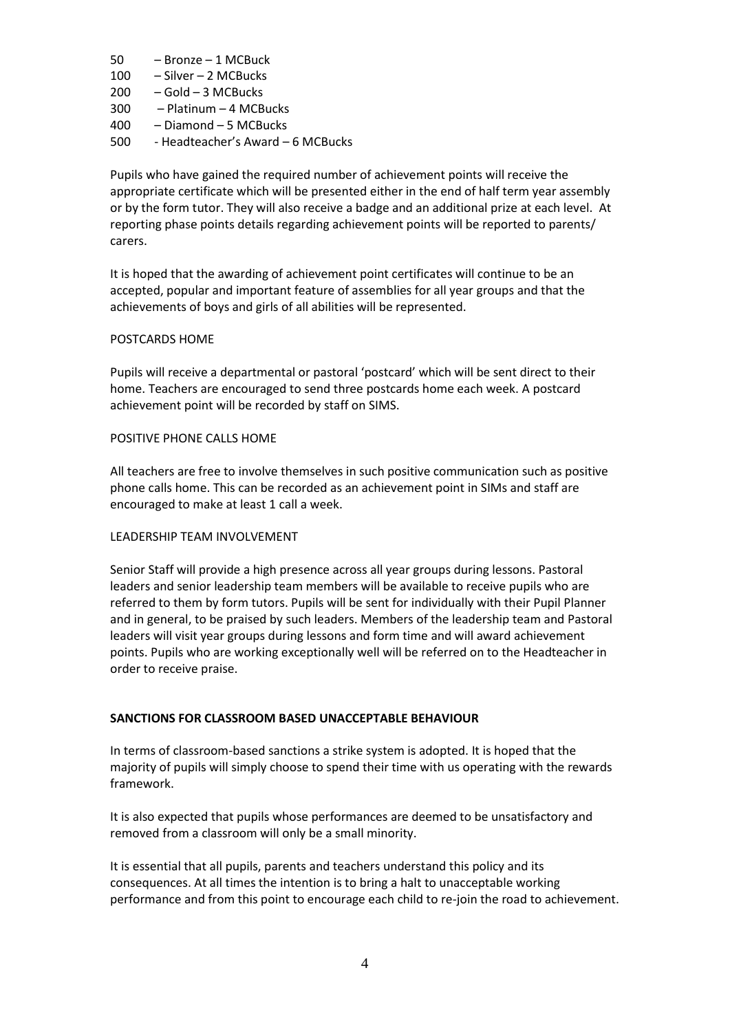- 50 Bronze 1 MCBuck
- 100 Silver 2 MCBucks
- 200 Gold 3 MCBucks
- 300 Platinum 4 MCBucks
- 400 Diamond 5 MCBucks
- 500 Headteacher's Award 6 MCBucks

Pupils who have gained the required number of achievement points will receive the appropriate certificate which will be presented either in the end of half term year assembly or by the form tutor. They will also receive a badge and an additional prize at each level. At reporting phase points details regarding achievement points will be reported to parents/ carers.

It is hoped that the awarding of achievement point certificates will continue to be an accepted, popular and important feature of assemblies for all year groups and that the achievements of boys and girls of all abilities will be represented.

#### POSTCARDS HOME

Pupils will receive a departmental or pastoral 'postcard' which will be sent direct to their home. Teachers are encouraged to send three postcards home each week. A postcard achievement point will be recorded by staff on SIMS.

#### POSITIVE PHONE CALLS HOME

All teachers are free to involve themselves in such positive communication such as positive phone calls home. This can be recorded as an achievement point in SIMs and staff are encouraged to make at least 1 call a week.

#### LEADERSHIP TEAM INVOLVEMENT

Senior Staff will provide a high presence across all year groups during lessons. Pastoral leaders and senior leadership team members will be available to receive pupils who are referred to them by form tutors. Pupils will be sent for individually with their Pupil Planner and in general, to be praised by such leaders. Members of the leadership team and Pastoral leaders will visit year groups during lessons and form time and will award achievement points. Pupils who are working exceptionally well will be referred on to the Headteacher in order to receive praise.

# **SANCTIONS FOR CLASSROOM BASED UNACCEPTABLE BEHAVIOUR**

In terms of classroom-based sanctions a strike system is adopted. It is hoped that the majority of pupils will simply choose to spend their time with us operating with the rewards framework.

It is also expected that pupils whose performances are deemed to be unsatisfactory and removed from a classroom will only be a small minority.

It is essential that all pupils, parents and teachers understand this policy and its consequences. At all times the intention is to bring a halt to unacceptable working performance and from this point to encourage each child to re-join the road to achievement.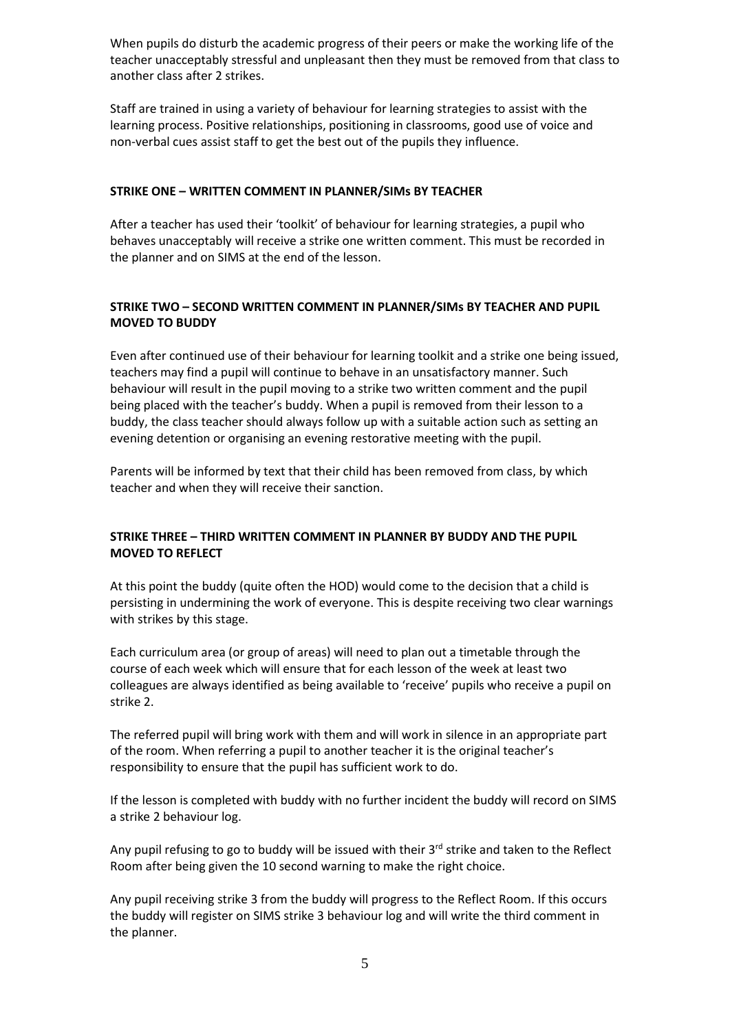When pupils do disturb the academic progress of their peers or make the working life of the teacher unacceptably stressful and unpleasant then they must be removed from that class to another class after 2 strikes.

Staff are trained in using a variety of behaviour for learning strategies to assist with the learning process. Positive relationships, positioning in classrooms, good use of voice and non-verbal cues assist staff to get the best out of the pupils they influence.

### **STRIKE ONE – WRITTEN COMMENT IN PLANNER/SIMs BY TEACHER**

After a teacher has used their 'toolkit' of behaviour for learning strategies, a pupil who behaves unacceptably will receive a strike one written comment. This must be recorded in the planner and on SIMS at the end of the lesson.

## **STRIKE TWO – SECOND WRITTEN COMMENT IN PLANNER/SIMs BY TEACHER AND PUPIL MOVED TO BUDDY**

Even after continued use of their behaviour for learning toolkit and a strike one being issued, teachers may find a pupil will continue to behave in an unsatisfactory manner. Such behaviour will result in the pupil moving to a strike two written comment and the pupil being placed with the teacher's buddy. When a pupil is removed from their lesson to a buddy, the class teacher should always follow up with a suitable action such as setting an evening detention or organising an evening restorative meeting with the pupil.

Parents will be informed by text that their child has been removed from class, by which teacher and when they will receive their sanction.

# **STRIKE THREE – THIRD WRITTEN COMMENT IN PLANNER BY BUDDY AND THE PUPIL MOVED TO REFLECT**

At this point the buddy (quite often the HOD) would come to the decision that a child is persisting in undermining the work of everyone. This is despite receiving two clear warnings with strikes by this stage.

Each curriculum area (or group of areas) will need to plan out a timetable through the course of each week which will ensure that for each lesson of the week at least two colleagues are always identified as being available to 'receive' pupils who receive a pupil on strike 2.

The referred pupil will bring work with them and will work in silence in an appropriate part of the room. When referring a pupil to another teacher it is the original teacher's responsibility to ensure that the pupil has sufficient work to do.

If the lesson is completed with buddy with no further incident the buddy will record on SIMS a strike 2 behaviour log.

Any pupil refusing to go to buddy will be issued with their  $3<sup>rd</sup>$  strike and taken to the Reflect Room after being given the 10 second warning to make the right choice.

Any pupil receiving strike 3 from the buddy will progress to the Reflect Room. If this occurs the buddy will register on SIMS strike 3 behaviour log and will write the third comment in the planner.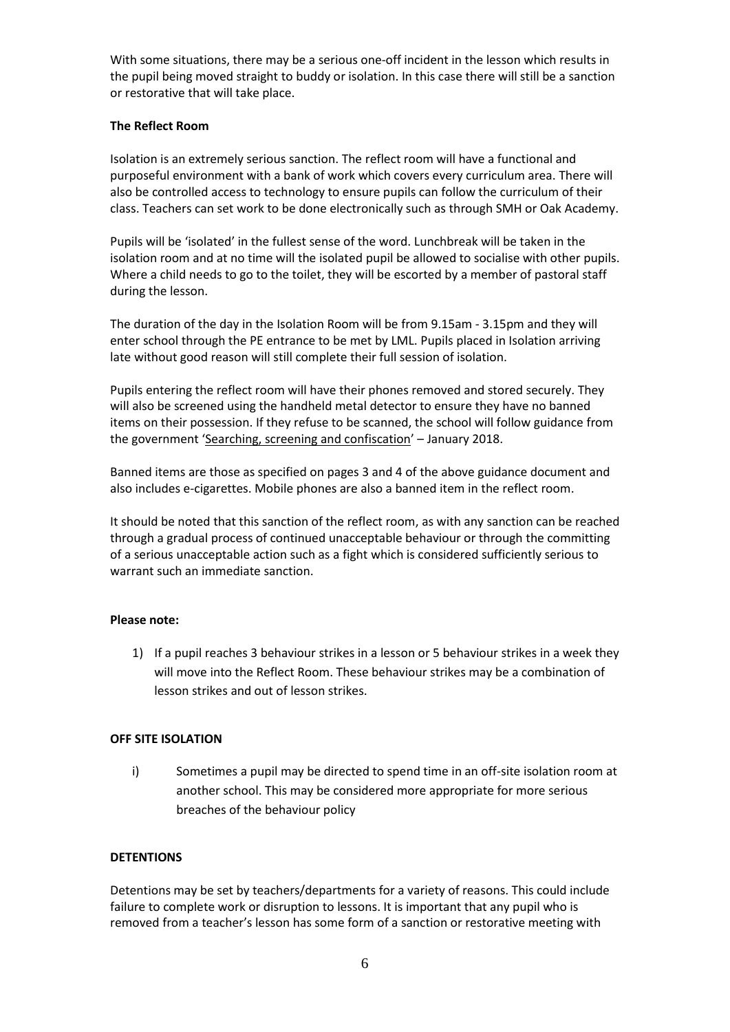With some situations, there may be a serious one-off incident in the lesson which results in the pupil being moved straight to buddy or isolation. In this case there will still be a sanction or restorative that will take place.

### **The Reflect Room**

Isolation is an extremely serious sanction. The reflect room will have a functional and purposeful environment with a bank of work which covers every curriculum area. There will also be controlled access to technology to ensure pupils can follow the curriculum of their class. Teachers can set work to be done electronically such as through SMH or Oak Academy.

Pupils will be 'isolated' in the fullest sense of the word. Lunchbreak will be taken in the isolation room and at no time will the isolated pupil be allowed to socialise with other pupils. Where a child needs to go to the toilet, they will be escorted by a member of pastoral staff during the lesson.

The duration of the day in the Isolation Room will be from 9.15am - 3.15pm and they will enter school through the PE entrance to be met by LML. Pupils placed in Isolation arriving late without good reason will still complete their full session of isolation.

Pupils entering the reflect room will have their phones removed and stored securely. They will also be screened using the handheld metal detector to ensure they have no banned items on their possession. If they refuse to be scanned, the school will follow guidance from the government '[Searching, screening and confiscation](https://assets.publishing.service.gov.uk/government/uploads/system/uploads/attachment_data/file/674416/Searching_screening_and_confiscation.pdf)' – January 2018.

Banned items are those as specified on pages 3 and 4 of the above guidance document and also includes e-cigarettes. Mobile phones are also a banned item in the reflect room.

It should be noted that this sanction of the reflect room, as with any sanction can be reached through a gradual process of continued unacceptable behaviour or through the committing of a serious unacceptable action such as a fight which is considered sufficiently serious to warrant such an immediate sanction.

#### **Please note:**

1) If a pupil reaches 3 behaviour strikes in a lesson or 5 behaviour strikes in a week they will move into the Reflect Room. These behaviour strikes may be a combination of lesson strikes and out of lesson strikes.

#### **OFF SITE ISOLATION**

i) Sometimes a pupil may be directed to spend time in an off-site isolation room at another school. This may be considered more appropriate for more serious breaches of the behaviour policy

# **DETENTIONS**

Detentions may be set by teachers/departments for a variety of reasons. This could include failure to complete work or disruption to lessons. It is important that any pupil who is removed from a teacher's lesson has some form of a sanction or restorative meeting with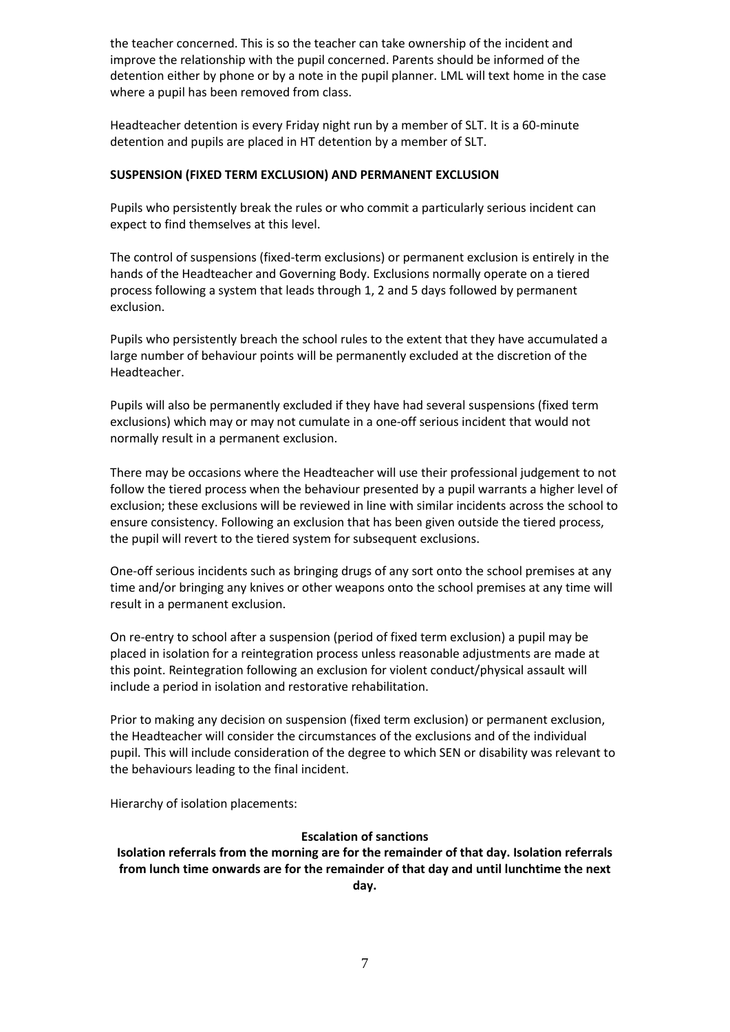the teacher concerned. This is so the teacher can take ownership of the incident and improve the relationship with the pupil concerned. Parents should be informed of the detention either by phone or by a note in the pupil planner. LML will text home in the case where a pupil has been removed from class.

Headteacher detention is every Friday night run by a member of SLT. It is a 60-minute detention and pupils are placed in HT detention by a member of SLT.

### **SUSPENSION (FIXED TERM EXCLUSION) AND PERMANENT EXCLUSION**

Pupils who persistently break the rules or who commit a particularly serious incident can expect to find themselves at this level.

The control of suspensions (fixed-term exclusions) or permanent exclusion is entirely in the hands of the Headteacher and Governing Body. Exclusions normally operate on a tiered process following a system that leads through 1, 2 and 5 days followed by permanent exclusion.

Pupils who persistently breach the school rules to the extent that they have accumulated a large number of behaviour points will be permanently excluded at the discretion of the Headteacher.

Pupils will also be permanently excluded if they have had several suspensions (fixed term exclusions) which may or may not cumulate in a one-off serious incident that would not normally result in a permanent exclusion.

There may be occasions where the Headteacher will use their professional judgement to not follow the tiered process when the behaviour presented by a pupil warrants a higher level of exclusion; these exclusions will be reviewed in line with similar incidents across the school to ensure consistency. Following an exclusion that has been given outside the tiered process, the pupil will revert to the tiered system for subsequent exclusions.

One-off serious incidents such as bringing drugs of any sort onto the school premises at any time and/or bringing any knives or other weapons onto the school premises at any time will result in a permanent exclusion.

On re-entry to school after a suspension (period of fixed term exclusion) a pupil may be placed in isolation for a reintegration process unless reasonable adjustments are made at this point. Reintegration following an exclusion for violent conduct/physical assault will include a period in isolation and restorative rehabilitation.

Prior to making any decision on suspension (fixed term exclusion) or permanent exclusion, the Headteacher will consider the circumstances of the exclusions and of the individual pupil. This will include consideration of the degree to which SEN or disability was relevant to the behaviours leading to the final incident.

Hierarchy of isolation placements:

### **Escalation of sanctions**

**Isolation referrals from the morning are for the remainder of that day. Isolation referrals from lunch time onwards are for the remainder of that day and until lunchtime the next day.**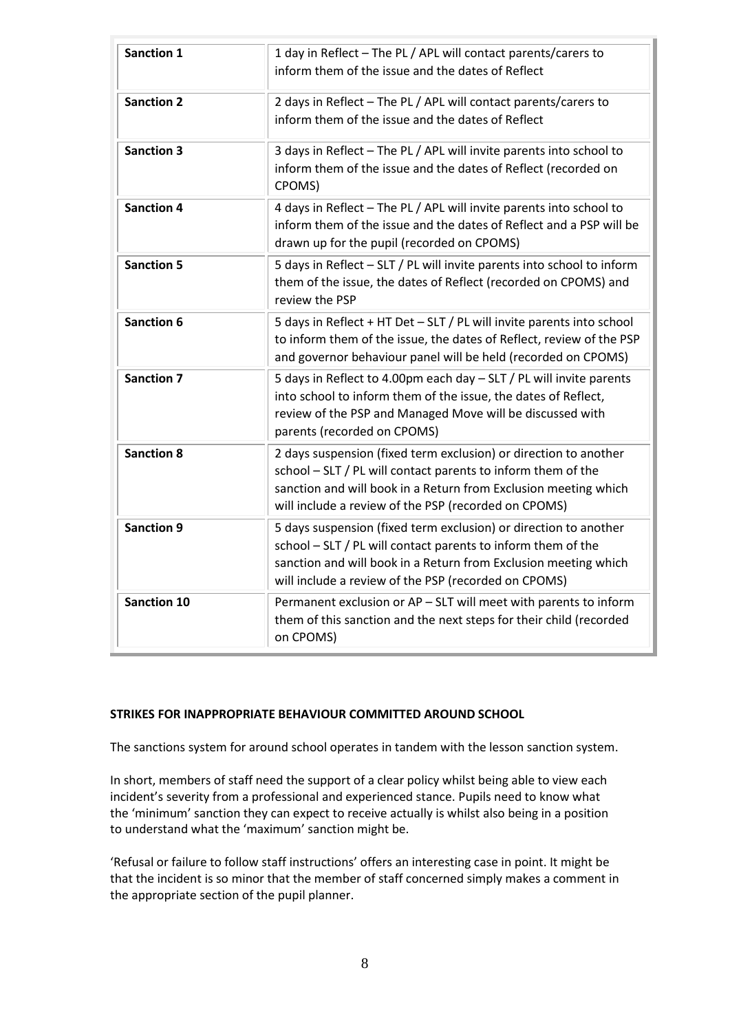| <b>Sanction 1</b>  | 1 day in Reflect - The PL / APL will contact parents/carers to<br>inform them of the issue and the dates of Reflect                                                                                                                                         |
|--------------------|-------------------------------------------------------------------------------------------------------------------------------------------------------------------------------------------------------------------------------------------------------------|
| <b>Sanction 2</b>  | 2 days in Reflect - The PL / APL will contact parents/carers to<br>inform them of the issue and the dates of Reflect                                                                                                                                        |
| <b>Sanction 3</b>  | 3 days in Reflect - The PL / APL will invite parents into school to<br>inform them of the issue and the dates of Reflect (recorded on<br>CPOMS)                                                                                                             |
| <b>Sanction 4</b>  | 4 days in Reflect - The PL / APL will invite parents into school to<br>inform them of the issue and the dates of Reflect and a PSP will be<br>drawn up for the pupil (recorded on CPOMS)                                                                    |
| <b>Sanction 5</b>  | 5 days in Reflect - SLT / PL will invite parents into school to inform<br>them of the issue, the dates of Reflect (recorded on CPOMS) and<br>review the PSP                                                                                                 |
| <b>Sanction 6</b>  | 5 days in Reflect + HT Det - SLT / PL will invite parents into school<br>to inform them of the issue, the dates of Reflect, review of the PSP<br>and governor behaviour panel will be held (recorded on CPOMS)                                              |
| <b>Sanction 7</b>  | 5 days in Reflect to 4.00pm each day - SLT / PL will invite parents<br>into school to inform them of the issue, the dates of Reflect,<br>review of the PSP and Managed Move will be discussed with<br>parents (recorded on CPOMS)                           |
| <b>Sanction 8</b>  | 2 days suspension (fixed term exclusion) or direction to another<br>school - SLT / PL will contact parents to inform them of the<br>sanction and will book in a Return from Exclusion meeting which<br>will include a review of the PSP (recorded on CPOMS) |
| <b>Sanction 9</b>  | 5 days suspension (fixed term exclusion) or direction to another<br>school - SLT / PL will contact parents to inform them of the<br>sanction and will book in a Return from Exclusion meeting which<br>will include a review of the PSP (recorded on CPOMS) |
| <b>Sanction 10</b> | Permanent exclusion or AP - SLT will meet with parents to inform<br>them of this sanction and the next steps for their child (recorded<br>on CPOMS)                                                                                                         |

#### **STRIKES FOR INAPPROPRIATE BEHAVIOUR COMMITTED AROUND SCHOOL**

The sanctions system for around school operates in tandem with the lesson sanction system.

In short, members of staff need the support of a clear policy whilst being able to view each incident's severity from a professional and experienced stance. Pupils need to know what the 'minimum' sanction they can expect to receive actually is whilst also being in a position to understand what the 'maximum' sanction might be.

'Refusal or failure to follow staff instructions' offers an interesting case in point. It might be that the incident is so minor that the member of staff concerned simply makes a comment in the appropriate section of the pupil planner.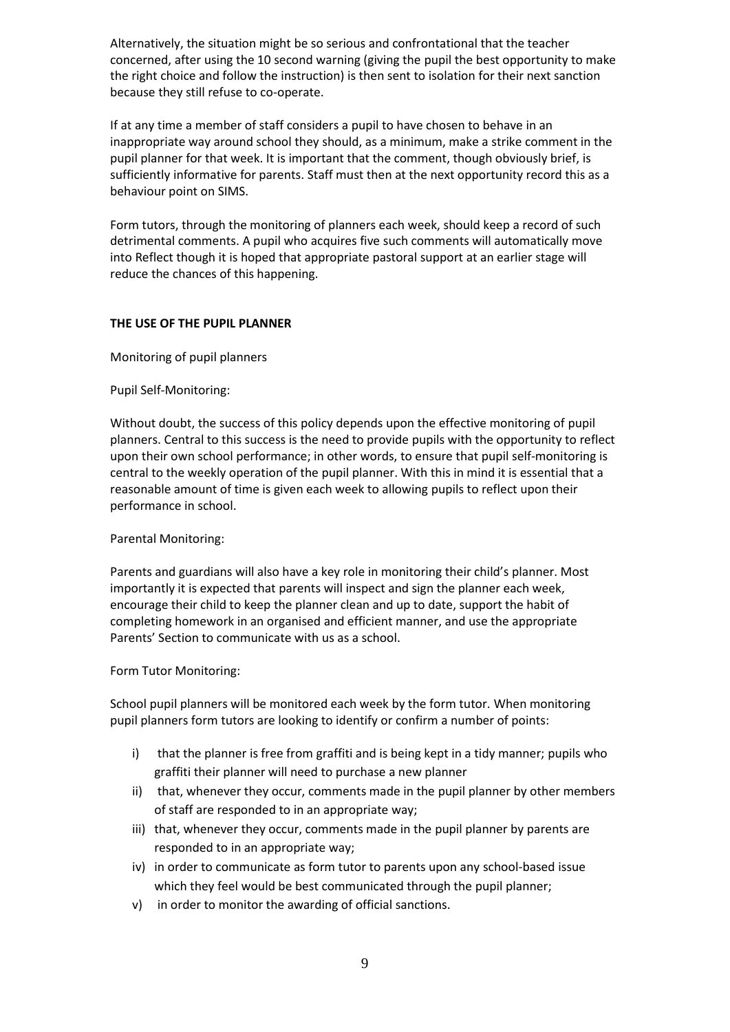Alternatively, the situation might be so serious and confrontational that the teacher concerned, after using the 10 second warning (giving the pupil the best opportunity to make the right choice and follow the instruction) is then sent to isolation for their next sanction because they still refuse to co-operate.

If at any time a member of staff considers a pupil to have chosen to behave in an inappropriate way around school they should, as a minimum, make a strike comment in the pupil planner for that week. It is important that the comment, though obviously brief, is sufficiently informative for parents. Staff must then at the next opportunity record this as a behaviour point on SIMS.

Form tutors, through the monitoring of planners each week, should keep a record of such detrimental comments. A pupil who acquires five such comments will automatically move into Reflect though it is hoped that appropriate pastoral support at an earlier stage will reduce the chances of this happening.

#### **THE USE OF THE PUPIL PLANNER**

Monitoring of pupil planners

Pupil Self-Monitoring:

Without doubt, the success of this policy depends upon the effective monitoring of pupil planners. Central to this success is the need to provide pupils with the opportunity to reflect upon their own school performance; in other words, to ensure that pupil self-monitoring is central to the weekly operation of the pupil planner. With this in mind it is essential that a reasonable amount of time is given each week to allowing pupils to reflect upon their performance in school.

# Parental Monitoring:

Parents and guardians will also have a key role in monitoring their child's planner. Most importantly it is expected that parents will inspect and sign the planner each week, encourage their child to keep the planner clean and up to date, support the habit of completing homework in an organised and efficient manner, and use the appropriate Parents' Section to communicate with us as a school.

#### Form Tutor Monitoring:

School pupil planners will be monitored each week by the form tutor. When monitoring pupil planners form tutors are looking to identify or confirm a number of points:

- i) that the planner is free from graffiti and is being kept in a tidy manner; pupils who graffiti their planner will need to purchase a new planner
- ii) that, whenever they occur, comments made in the pupil planner by other members of staff are responded to in an appropriate way;
- iii) that, whenever they occur, comments made in the pupil planner by parents are responded to in an appropriate way;
- iv) in order to communicate as form tutor to parents upon any school-based issue which they feel would be best communicated through the pupil planner;
- v) in order to monitor the awarding of official sanctions.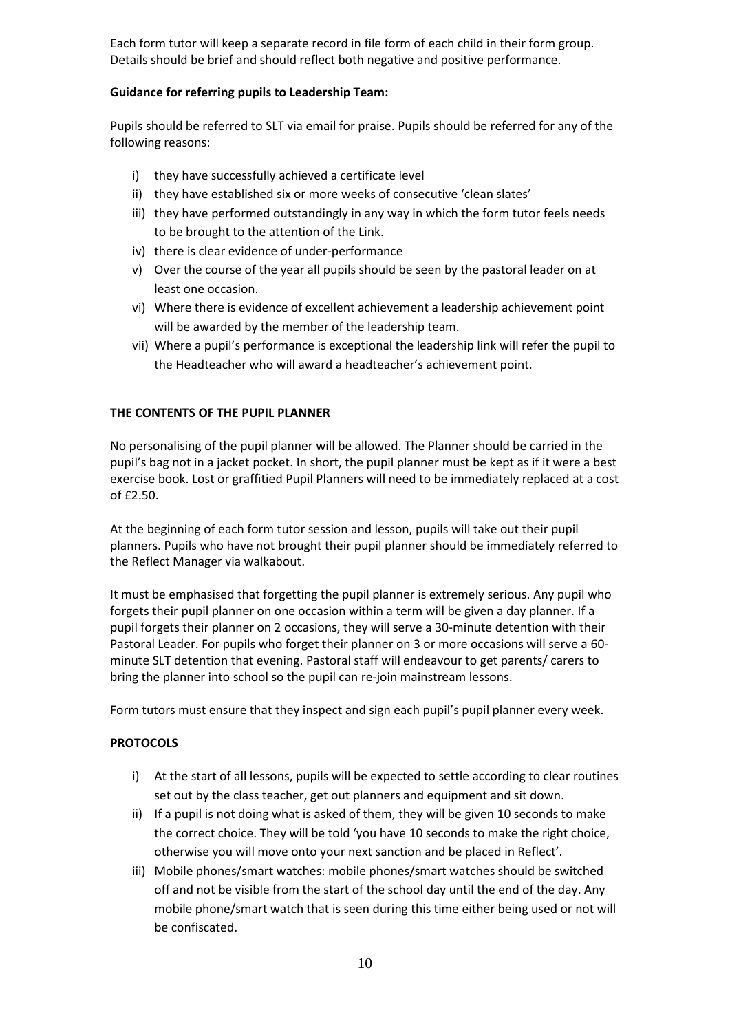Each form tutor will keep a separate record in file form of each child in their form group. Details should be brief and should reflect both negative and positive performance.

## **Guidance for referring pupils to Leadership Team:**

Pupils should be referred to SLT via email for praise. Pupils should be referred for any of the following reasons:

- i) they have successfully achieved a certificate level
- ii) they have established six or more weeks of consecutive 'clean slates'
- iii) they have performed outstandingly in any way in which the form tutor feels needs to be brought to the attention of the Link.
- iv) there is clear evidence of under-performance
- v) Over the course of the year all pupils should be seen by the pastoral leader on at least one occasion.
- vi) Where there is evidence of excellent achievement a leadership achievement point will be awarded by the member of the leadership team.
- vii) Where a pupil's performance is exceptional the leadership link will refer the pupil to the Headteacher who will award a headteacher's achievement point.

### **THE CONTENTS OF THE PUPIL PLANNER**

No personalising of the pupil planner will be allowed. The Planner should be carried in the pupil's bag not in a jacket pocket. In short, the pupil planner must be kept as if it were a best exercise book. Lost or graffitied Pupil Planners will need to be immediately replaced at a cost of £2.50.

At the beginning of each form tutor session and lesson, pupils will take out their pupil planners. Pupils who have not brought their pupil planner should be immediately referred to the Reflect Manager via walkabout.

It must be emphasised that forgetting the pupil planner is extremely serious. Any pupil who forgets their pupil planner on one occasion within a term will be given a day planner. If a pupil forgets their planner on 2 occasions, they will serve a 30-minute detention with their Pastoral Leader. For pupils who forget their planner on 3 or more occasions will serve a 60 minute SLT detention that evening. Pastoral staff will endeavour to get parents/ carers to bring the planner into school so the pupil can re-join mainstream lessons.

Form tutors must ensure that they inspect and sign each pupil's pupil planner every week.

# **PROTOCOLS**

- i) At the start of all lessons, pupils will be expected to settle according to clear routines set out by the class teacher, get out planners and equipment and sit down.
- ii) If a pupil is not doing what is asked of them, they will be given 10 seconds to make the correct choice. They will be told 'you have 10 seconds to make the right choice, otherwise you will move onto your next sanction and be placed in Reflect'.
- iii) Mobile phones/smart watches: mobile phones/smart watches should be switched off and not be visible from the start of the school day until the end of the day. Any mobile phone/smart watch that is seen during this time either being used or not will be confiscated.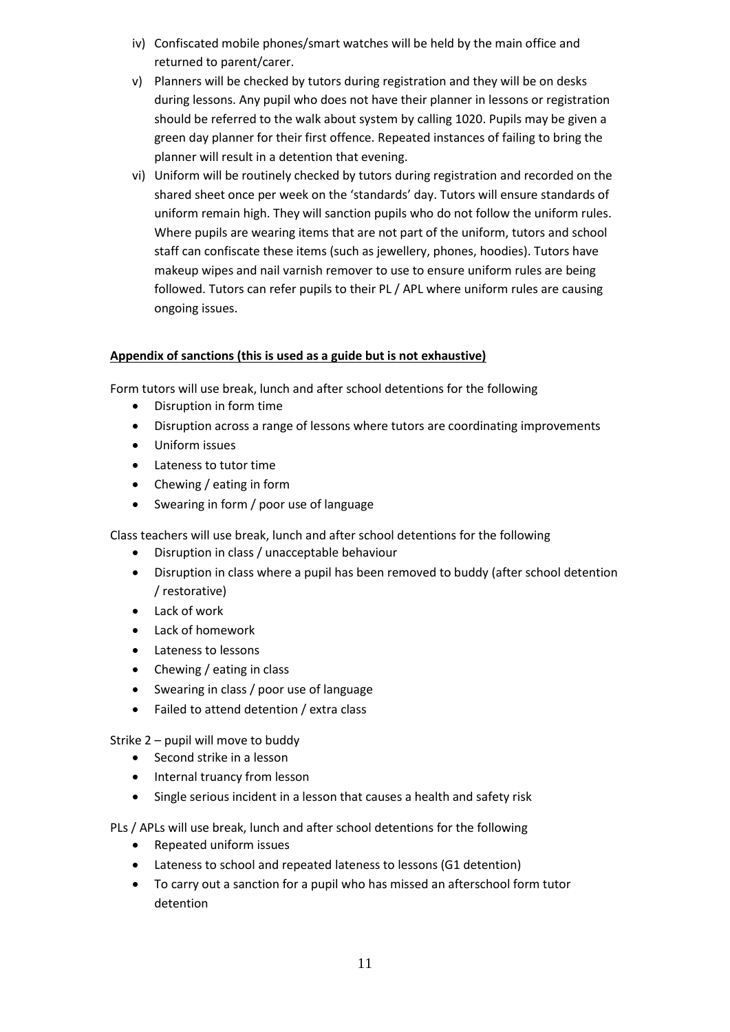- iv) Confiscated mobile phones/smart watches will be held by the main office and returned to parent/carer.
- v) Planners will be checked by tutors during registration and they will be on desks during lessons. Any pupil who does not have their planner in lessons or registration should be referred to the walk about system by calling 1020. Pupils may be given a green day planner for their first offence. Repeated instances of failing to bring the planner will result in a detention that evening.
- vi) Uniform will be routinely checked by tutors during registration and recorded on the shared sheet once per week on the 'standards' day. Tutors will ensure standards of uniform remain high. They will sanction pupils who do not follow the uniform rules. Where pupils are wearing items that are not part of the uniform, tutors and school staff can confiscate these items (such as jewellery, phones, hoodies). Tutors have makeup wipes and nail varnish remover to use to ensure uniform rules are being followed. Tutors can refer pupils to their PL / APL where uniform rules are causing ongoing issues.

# **Appendix of sanctions (this is used as a guide but is not exhaustive)**

Form tutors will use break, lunch and after school detentions for the following

- Disruption in form time
- Disruption across a range of lessons where tutors are coordinating improvements
- Uniform issues
- Lateness to tutor time
- Chewing / eating in form
- Swearing in form / poor use of language

Class teachers will use break, lunch and after school detentions for the following

- Disruption in class / unacceptable behaviour
- Disruption in class where a pupil has been removed to buddy (after school detention / restorative)
- Lack of work
- Lack of homework
- Lateness to lessons
- Chewing / eating in class
- Swearing in class / poor use of language
- Failed to attend detention / extra class

Strike 2 – pupil will move to buddy

- Second strike in a lesson
- Internal truancy from lesson
- Single serious incident in a lesson that causes a health and safety risk

PLs / APLs will use break, lunch and after school detentions for the following

- Repeated uniform issues
- Lateness to school and repeated lateness to lessons (G1 detention)
- To carry out a sanction for a pupil who has missed an afterschool form tutor detention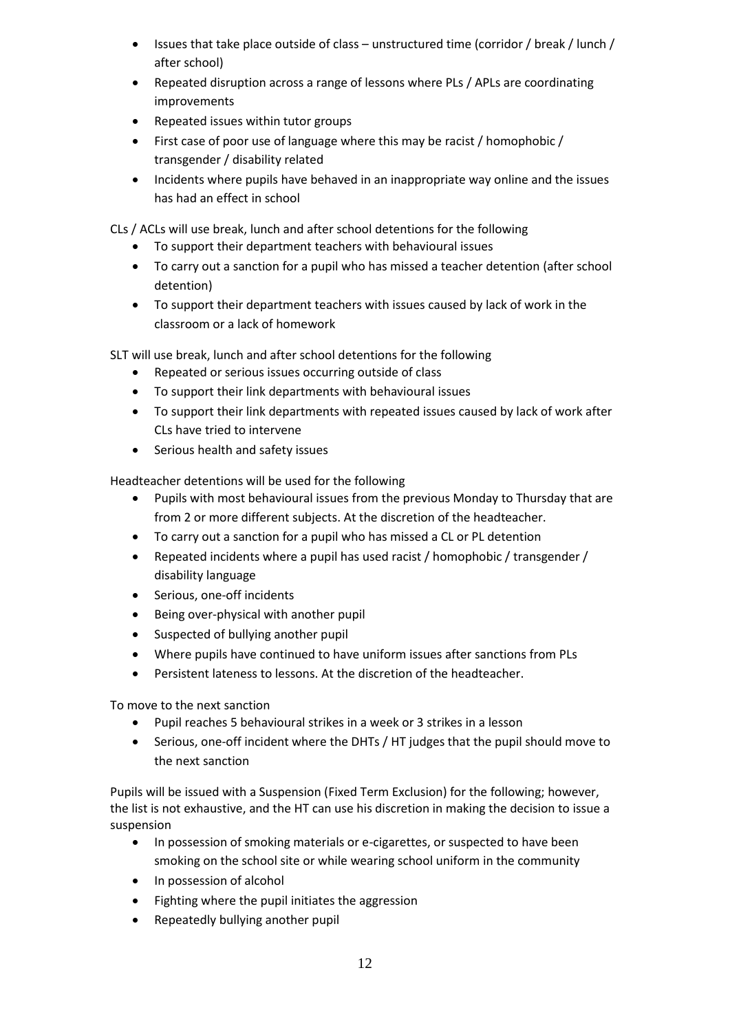- Issues that take place outside of class unstructured time (corridor / break / lunch / after school)
- Repeated disruption across a range of lessons where PLs / APLs are coordinating improvements
- Repeated issues within tutor groups
- First case of poor use of language where this may be racist / homophobic / transgender / disability related
- Incidents where pupils have behaved in an inappropriate way online and the issues has had an effect in school

CLs / ACLs will use break, lunch and after school detentions for the following

- To support their department teachers with behavioural issues
- To carry out a sanction for a pupil who has missed a teacher detention (after school detention)
- To support their department teachers with issues caused by lack of work in the classroom or a lack of homework

SLT will use break, lunch and after school detentions for the following

- Repeated or serious issues occurring outside of class
- To support their link departments with behavioural issues
- To support their link departments with repeated issues caused by lack of work after CLs have tried to intervene
- Serious health and safety issues

Headteacher detentions will be used for the following

- Pupils with most behavioural issues from the previous Monday to Thursday that are from 2 or more different subjects. At the discretion of the headteacher.
- To carry out a sanction for a pupil who has missed a CL or PL detention
- Repeated incidents where a pupil has used racist / homophobic / transgender / disability language
- Serious, one-off incidents
- Being over-physical with another pupil
- Suspected of bullying another pupil
- Where pupils have continued to have uniform issues after sanctions from PLs
- Persistent lateness to lessons. At the discretion of the headteacher.

To move to the next sanction

- Pupil reaches 5 behavioural strikes in a week or 3 strikes in a lesson
- Serious, one-off incident where the DHTs / HT judges that the pupil should move to the next sanction

Pupils will be issued with a Suspension (Fixed Term Exclusion) for the following; however, the list is not exhaustive, and the HT can use his discretion in making the decision to issue a suspension

- In possession of smoking materials or e-cigarettes, or suspected to have been smoking on the school site or while wearing school uniform in the community
- In possession of alcohol
- Fighting where the pupil initiates the aggression
- Repeatedly bullying another pupil